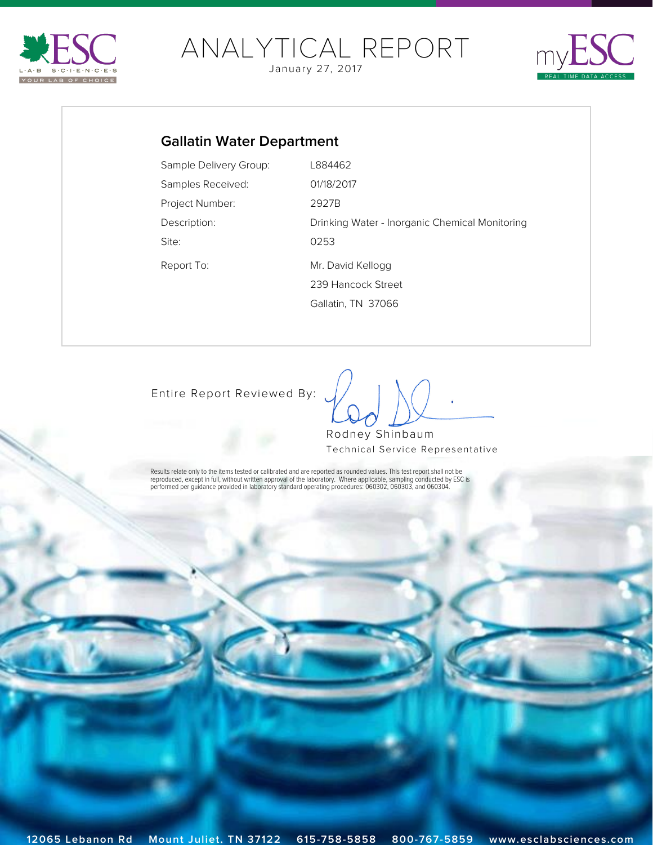<span id="page-0-0"></span>

# [ANALY](http://www.esclabsciences.com)TICAL REPORT

January 27, 2017



## **Gallatin Water Department**

| Sample Delivery Group: | L884462                                        |
|------------------------|------------------------------------------------|
| Samples Received:      | 01/18/2017                                     |
| Project Number:        | 2927B                                          |
| Description:           | Drinking Water - Inorganic Chemical Monitoring |
| Site:                  | 0253                                           |
| Report To:             | Mr. David Kellogg                              |
|                        | 239 Hancock Street                             |
|                        | Gallatin, TN 37066                             |

[Entire Report Reviewed By:](mailto:rshinbaum@esclabsciences.com?subject=ESC Lab Sciences SDG: L884462&body=Email regarding SDG: L884462)

 $\int$ 

Rodney Shinbaum Technical Service Representative

Results relate only to the items tested or calibrated and are reported as rounded values. This test report shall not be<br>reproduced, except in full, without written approval of the laboratory. Where applicable, sampling con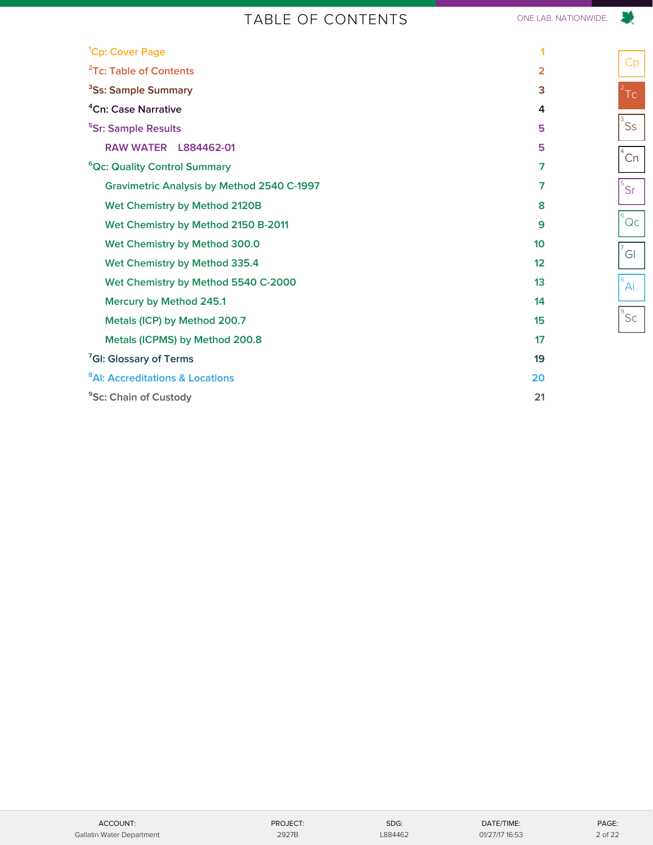## TABLE OF CONTENTS ONE LAB. NATIONWIDE.

<span id="page-1-0"></span>

| <sup>1</sup> Cp: Cover Page                       | 1               |
|---------------------------------------------------|-----------------|
| <sup>2</sup> Tc: Table of Contents                | $\overline{2}$  |
| <sup>3</sup> Ss: Sample Summary                   | 3               |
| <sup>4</sup> Cn: Case Narrative                   | 4               |
| <sup>5</sup> Sr: Sample Results                   | 5               |
| <b>RAW WATER L884462-01</b>                       | 5               |
| <sup>6</sup> Qc: Quality Control Summary          | $\overline{7}$  |
| <b>Gravimetric Analysis by Method 2540 C-1997</b> | 7               |
| Wet Chemistry by Method 2120B                     | 8               |
| Wet Chemistry by Method 2150 B-2011               | 9               |
| Wet Chemistry by Method 300.0                     | 10 <sup>1</sup> |
| Wet Chemistry by Method 335.4                     | 12              |
| Wet Chemistry by Method 5540 C-2000               | 13              |
| Mercury by Method 245.1                           | 14              |
| Metals (ICP) by Method 200.7                      | 15              |
| Metals (ICPMS) by Method 200.8                    | 17              |
| <sup>7</sup> GI: Glossary of Terms                | 19              |
| <sup>8</sup> AI: Accreditations & Locations       | 20              |
| <sup>9</sup> Sc: Chain of Custody                 | 21              |
|                                                   |                 |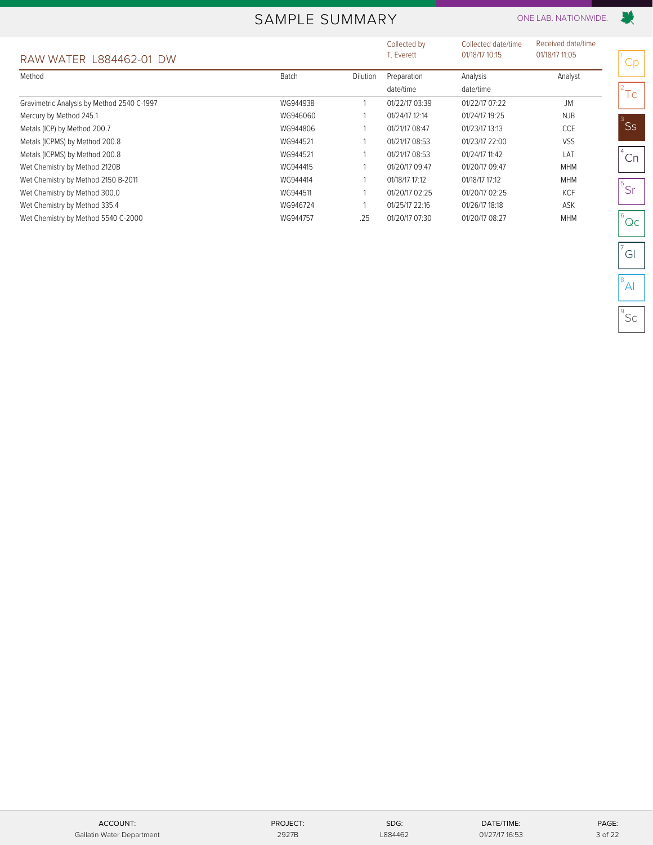## SAMPLE SUMMARY ONE LAB. NATIONWIDE.

<span id="page-2-0"></span>

|                                            |          |          | Collected by   | Collected date/time | Received date/time |
|--------------------------------------------|----------|----------|----------------|---------------------|--------------------|
| RAW WATER L884462-01 DW                    |          |          | T. Everett     | 01/18/17 10:15      | 01/18/17 11:05     |
| Method                                     | Batch    | Dilution | Preparation    | Analysis            | Analyst            |
|                                            |          |          | date/time      | date/time           |                    |
| Gravimetric Analysis by Method 2540 C-1997 | WG944938 |          | 01/22/17 03:39 | 01/22/17 07:22      | <b>JM</b>          |
| Mercury by Method 245.1                    | WG946060 |          | 01/24/17 12:14 | 01/24/17 19:25      | NJB                |
| Metals (ICP) by Method 200.7               | WG944806 |          | 01/21/17 08:47 | 01/23/17 13:13      | CCE                |
| Metals (ICPMS) by Method 200.8             | WG944521 |          | 01/21/17 08:53 | 01/23/17 22:00      | <b>VSS</b>         |
| Metals (ICPMS) by Method 200.8             | WG944521 |          | 01/21/17 08:53 | 01/24/17 11:42      | <b>LAT</b>         |
| Wet Chemistry by Method 2120B              | WG944415 |          | 01/20/17 09:47 | 01/20/17 09:47      | <b>MHM</b>         |
| Wet Chemistry by Method 2150 B-2011        | WG944414 |          | 01/18/17 17:12 | 01/18/17 17:12      | <b>MHM</b>         |
| Wet Chemistry by Method 300.0              | WG944511 |          | 01/20/17 02:25 | 01/20/17 02:25      | KCF                |
| Wet Chemistry by Method 335.4              | WG946724 |          | 01/25/17 22:16 | 01/26/17 18:18      | ASK                |
| Wet Chemistry by Method 5540 C-2000        | WG944757 | .25      | 01/20/17 07:30 | 01/20/17 08:27      | <b>MHM</b>         |

Cp

联

 $2^2$ Tc

 $\degree$ Ss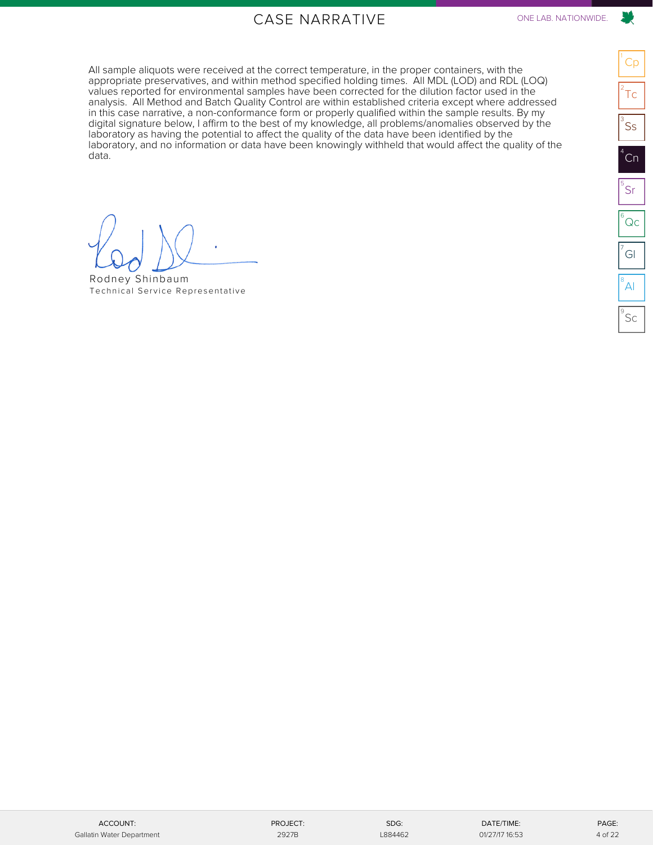## CASE NARRATIVE ONE LAB. NATIONWIDE.

<span id="page-3-0"></span>All sample aliquots were received at the correct temperature, in the proper containers, with the appropriate preservatives, and within method specified holding times. All MDL (LOD) and RDL (LOQ) values reported for environmental samples have been corrected for the dilution factor used in the analysis. All Method and Batch Quality Control are within established criteria except where addressed in this case narrative, a non-conformance form or properly qualified within the sample results. By my digital signature below, I affirm to the best of my knowledge, all problems/anomalies observed by the laboratory as having the potential to affect the quality of the data have been identified by the laboratory, and no information or data have been knowingly withheld that would affect the quality of the data.

**[Preliminary Report]**

Rodney Shinbaum [Technical Service Representative](mailto:rshinbaum@esclabsciences.com?subject=ESC Lab Sciences SDG: L884462&body=Email regarding SDG: L884462)

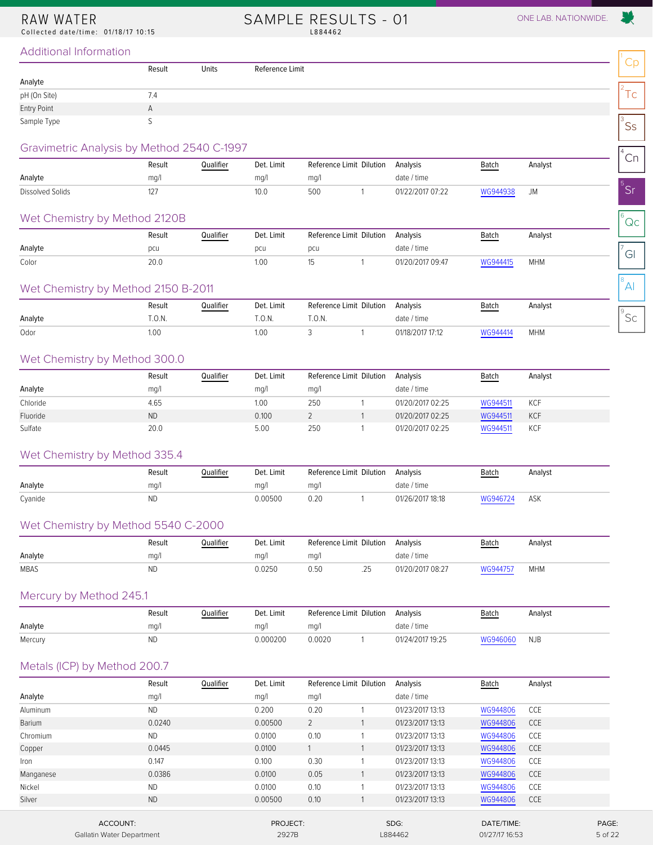<span id="page-4-1"></span><span id="page-4-0"></span>Collected date/time: 01/18/17 10:15

SAMPLE RESULTS - 01 ONE LAB. NATIONWIDE. L884462



 $^8$ Al

#### Additional Information

|              | Result       | Units | Reference Limit |  |             |  |
|--------------|--------------|-------|-----------------|--|-------------|--|
| Analyte      |              |       |                 |  |             |  |
| pH (On Site) | 7.4          |       |                 |  | $\sim$<br>╰ |  |
| Entry Point  | $\mathsf{A}$ |       |                 |  |             |  |
| Sample Type  |              |       |                 |  | <b>SS</b>   |  |

#### Gravimetric Analysis by Method 2540 C-1997

| Ordvillettic Arigiyals by Metricu 2040 C-1997 |        |           |            |     |                          |                  |          |         |  | $\cap$ n |
|-----------------------------------------------|--------|-----------|------------|-----|--------------------------|------------------|----------|---------|--|----------|
|                                               | Result | Qualifier | Det. Limit |     | Reference Limit Dilution | Analysis         | Batch    | Analyst |  | ۱ اپ     |
| Analyte                                       | mq/    |           | ma/1       | mq/ |                          | date / time      |          |         |  |          |
| Dissolved Solids                              | 127    |           | 10.0       | 500 |                          | 01/22/2017 07:22 | WG944938 |         |  |          |

#### Wet Chemistry by Method 2120B

| Wet Chemistry by Method 2120B |        |           |            |     |                          |                  |          |            |        |
|-------------------------------|--------|-----------|------------|-----|--------------------------|------------------|----------|------------|--------|
|                               | Result | Qualifier | Det. Limit |     | Reference Limit Dilution | Analvsis         | Batch    | Analyst    |        |
| Analyte                       | pcu    |           | pcu        | pcu |                          | date / time      |          |            | $\sim$ |
| Color                         | 20.C   |           | .00        |     |                          | 01/20/2017 09:47 | WG944415 | <b>MHM</b> | GI     |

#### Wet Chemistry by Method 2150 B-2011

|         | Result | Qualifier | Det. Limit | Reference Limit Dilution | Analysis       | <b>Batch</b> | Analyst    |   |
|---------|--------|-----------|------------|--------------------------|----------------|--------------|------------|---|
| Analyte | .U.IV  |           | .U.IV.     | .U.IY                    | date<br>' time |              |            | ー |
| Odor    | 1.00   |           | I.UU       |                          |                |              | <b>MHM</b> |   |

#### Wet Chemistry by Method 300.0

|          | Result    | Qualifier | Det. Limit | Reference Limit Dilution |  | Analysis         | <b>Batch</b> | Analyst    |
|----------|-----------|-----------|------------|--------------------------|--|------------------|--------------|------------|
| Analyte  | mq/l      |           | mq/1       | mg/l                     |  | date / time      |              |            |
| Chloride | 4.65      |           | 1.00       | 250                      |  | 01/20/2017 02:25 | WG944511     | <b>KCF</b> |
| Fluoride | <b>ND</b> |           | 0.100      |                          |  | 01/20/2017 02:25 | WG944511     | <b>KCF</b> |
| Sulfate  | 20.0      |           | 5.00       | 250                      |  | 01/20/2017 02:25 | WG944511     | <b>KCF</b> |

#### Wet Chemistry by Method 335.4

|         | Result | Jualifier | Det. Limit | Reference Limit Dilution | Analysis         | Batch<br><u>and the set of the set of the set of the set of the set of the set of the set of the set of the set of the set of the set of the set of the set of the set of the set of the set of the set of the set of the set of the set </u> | Analyst |
|---------|--------|-----------|------------|--------------------------|------------------|-----------------------------------------------------------------------------------------------------------------------------------------------------------------------------------------------------------------------------------------------|---------|
| Analyte | mq/l   |           | ma/        | ma/                      | date / time      |                                                                                                                                                                                                                                               |         |
| Cyanide | ND     |           | 0.00500    | J.20                     | 01/26/2017 18:18 | WG946724                                                                                                                                                                                                                                      | ASK     |

#### Wet Chemistry by Method 5540 C-2000

|             | Result | Qualifier | Det. Limit | Reference Limit Dilution |           | Analysis         | Batch<br><b>Contract Contract Contract Contract Contract</b> | Analyst    |
|-------------|--------|-----------|------------|--------------------------|-----------|------------------|--------------------------------------------------------------|------------|
| Analyte     | ma/    |           | ma/l       | ma/                      |           | date / time      |                                                              |            |
| <b>MBAS</b> | NL     |           | 0.0250     |                          | つに<br>ب ک | 01/20/2017 08:27 | WG944757                                                     | <b>MHM</b> |

#### Mercury by Method 245.1

|         | Result | Qualifier | Det. Limit | Reference Limit Dilution Analysis |                  | <b>Batch</b> | Analyst    |
|---------|--------|-----------|------------|-----------------------------------|------------------|--------------|------------|
| Analyte | ma/l   |           | ma/l       | ma/1                              | date / time      |              |            |
| Mercury |        |           | 0.000200   | 0.0020                            | 01/24/2017 19:25 | WG946060     | <b>NJB</b> |

#### Metals (ICP) by Method 200.7

|           | Result    | Qualifier | Det. Limit |      | Reference Limit Dilution | Analysis         | Batch      | Analyst    |       |
|-----------|-----------|-----------|------------|------|--------------------------|------------------|------------|------------|-------|
| Analyte   | mg/l      |           | mg/l       | mg/l |                          | date / time      |            |            |       |
| Aluminum  | <b>ND</b> |           | 0.200      | 0.20 |                          | 01/23/2017 13:13 | WG944806   | <b>CCE</b> |       |
| Barium    | 0.0240    |           | 0.00500    | 2    |                          | 01/23/2017 13:13 | WG944806   | <b>CCE</b> |       |
| Chromium  | <b>ND</b> |           | 0.0100     | 0.10 |                          | 01/23/2017 13:13 | WG944806   | CCE        |       |
| Copper    | 0.0445    |           | 0.0100     |      |                          | 01/23/2017 13:13 | WG944806   | <b>CCE</b> |       |
| Iron      | 0.147     |           | 0.100      | 0.30 |                          | 01/23/2017 13:13 | WG944806   | <b>CCE</b> |       |
| Manganese | 0.0386    |           | 0.0100     | 0.05 |                          | 01/23/2017 13:13 | WG944806   | <b>CCE</b> |       |
| Nickel    | <b>ND</b> |           | 0.0100     | 0.10 |                          | 01/23/2017 13:13 | WG944806   | <b>CCE</b> |       |
| Silver    | <b>ND</b> |           | 0.00500    | 0.10 |                          | 01/23/2017 13:13 | WG944806   | <b>CCE</b> |       |
|           | ACCOUNT:  |           | PROJECT:   |      |                          | SDG:             | DATE/TIME: |            | PAGE: |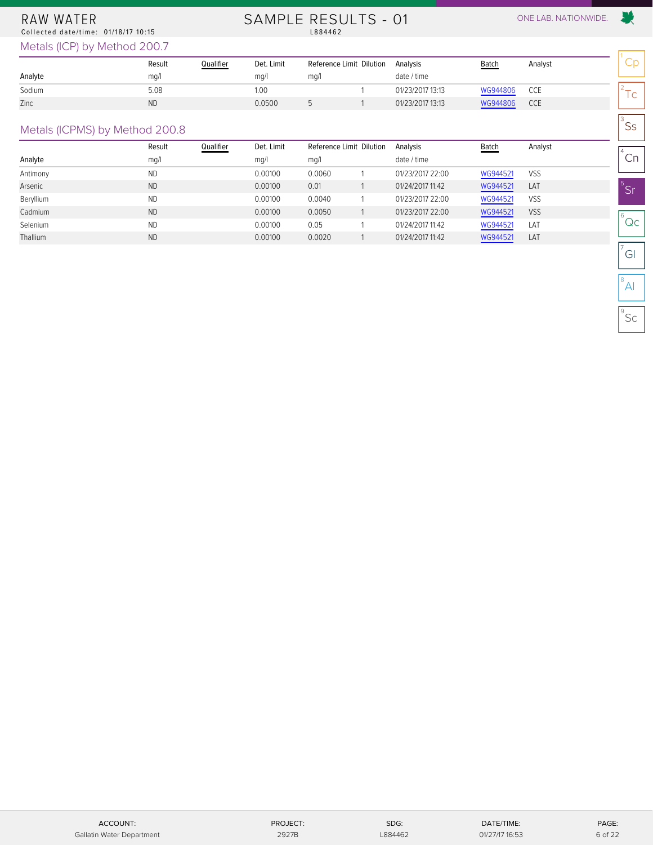#### RAW WATER Collected date/time: 01/18/17 10:15

# SAMPLE RESULTS - 01 ONE LAB. NATIONWIDE.<br>L884462

爱

 $\mathsf{^{3}SS}$ 

 $^{4}$ Cn

 $^5$ Sr

 $^6$ Qc

 $\sigma$ <sup>7</sup>Gl

 $^8$ Al

 $^{\circ}$ Sc

Metals (ICP) by Method 200.7

|         | Result    | Qualifier | Det. Limit | Reference Limit Dilution | Analysis         | <b>Batch</b> | Analyst |        |
|---------|-----------|-----------|------------|--------------------------|------------------|--------------|---------|--------|
| Analyte | mq/       |           | ma/        | mq/l                     | date / time      |              |         |        |
| Sodium  | 5.08      |           | 1.00       |                          | 01/23/2017 13:13 | WG944806     | CCE     | $\sim$ |
| Zinc    | <b>ND</b> |           | 0.0500     |                          | 01/23/2017 13:13 | WG944806     | CCE     | ╰      |

#### Metals (ICPMS) by Method 200.8

|           | Result    | Qualifier | Det. Limit | Reference Limit Dilution | Analysis         | Batch    | Analyst    |
|-----------|-----------|-----------|------------|--------------------------|------------------|----------|------------|
| Analyte   | mq/l      |           | mq/l       | mq/l                     | date / time      |          |            |
| Antimony  | <b>ND</b> |           | 0.00100    | 0.0060                   | 01/23/2017 22:00 | WG944521 | <b>VSS</b> |
| Arsenic   | <b>ND</b> |           | 0.00100    | 0.01                     | 01/24/2017 11:42 | WG944521 | LAT        |
| Beryllium | <b>ND</b> |           | 0.00100    | 0.0040                   | 01/23/2017 22:00 | WG944521 | <b>VSS</b> |
| Cadmium   | <b>ND</b> |           | 0.00100    | 0.0050                   | 01/23/2017 22:00 | WG944521 | <b>VSS</b> |
| Selenium  | <b>ND</b> |           | 0.00100    | 0.05                     | 01/24/2017 11:42 | WG944521 | LAT        |
| Thallium  | <b>ND</b> |           | 0.00100    | 0.0020                   | 01/24/2017 11:42 | WG944521 | LAT        |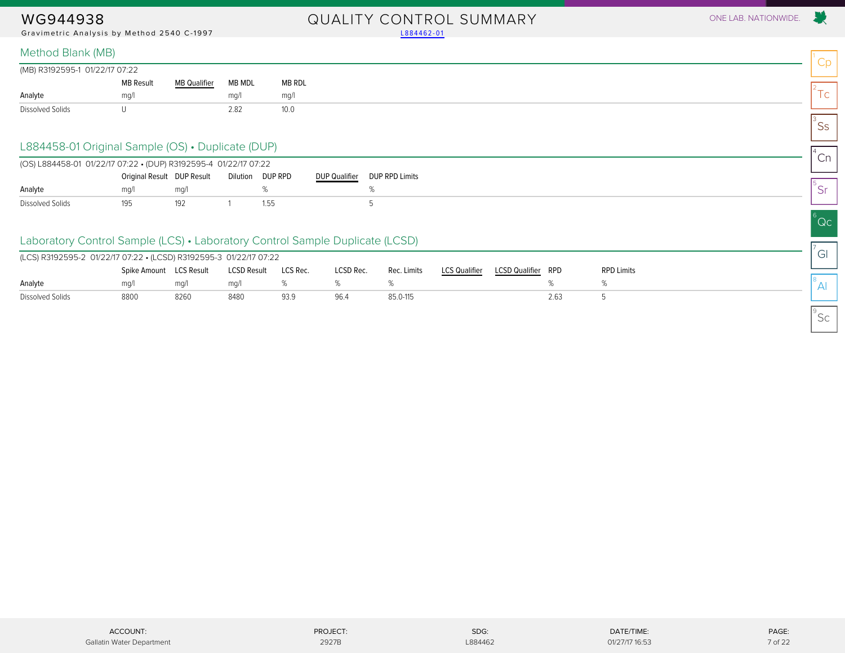Gravimetric Analysis by Method 2540 C-1997 [L884462-01](#page-4-1)

## WG944938 QUALITY CONTROL SUMMARY ONE LAB. NATIONWIDE.

Cp

 $2^2$ Tc

 $\mathsf{^{3}SS}$ 

 $^{4}$ Cn

5 Sr

 $^6$ Qc

 $\sigma$ <sup>7</sup>Gl

 $^8$ Al

 $^{\circ}$ Sc

#### Method Blank (MB)

| (MB) R3192595-1 01/22/17 07:22 |                  |                     |        |        |
|--------------------------------|------------------|---------------------|--------|--------|
|                                | <b>MB Result</b> | <b>MB Qualifier</b> | MB MDL | MB RDL |
| Analyte                        | mq/1             |                     | mq/1   | mq/    |
| Dissolved Solids               |                  |                     | 2.82   | 10.0   |

#### L884458-01 Original Sample (OS) • Duplicate (DUP)

<span id="page-6-0"></span>

| (OS) L884458-01 01/22/17 07:22 • (DUP) R3192595-4 01/22/17 07:22 |                            |      |                  |                      |                       |
|------------------------------------------------------------------|----------------------------|------|------------------|----------------------|-----------------------|
|                                                                  | Original Result DUP Result |      | Dilution DUP RPD | <b>DUP Qualifier</b> | <b>DUP RPD Limits</b> |
| Analyte                                                          | ma/                        | ma/l |                  |                      |                       |
| Dissolved Solids                                                 | 195                        |      | 1.55             |                      |                       |

### Laboratory Control Sample (LCS) • Laboratory Control Sample Duplicate (LCSD)

| (LCS) R3192595-2 01/22/17 07:22 • (LCSD) R3192595-3 01/22/17 07:22 |                         |      |                    |          |           |             |               |                       |      |                   |
|--------------------------------------------------------------------|-------------------------|------|--------------------|----------|-----------|-------------|---------------|-----------------------|------|-------------------|
|                                                                    | Spike Amount LCS Result |      | <b>LCSD Result</b> | LCS Rec. | LCSD Rec. | Rec. Limits | LCS Qualifier | <b>LCSD Qualifier</b> | RPD  | <b>RPD Limits</b> |
| Analyte                                                            | ma/l                    | ma/l | ma/l               |          |           |             |               |                       |      |                   |
| Dissolved Solids                                                   | 8800                    | 8260 | 848C               | 93.9     | 96.4      | 85.0-115    |               |                       | 2.63 |                   |

ACCOUNT: PROJECT: PROJECT: SDG: PROJECT: SDG: DATE/TIME: DATE/TIME: PAGE: PAGE: Gallatin Water Department 2927B L884462 01/27/17 16:33 7 of 22 01/27/17 16:53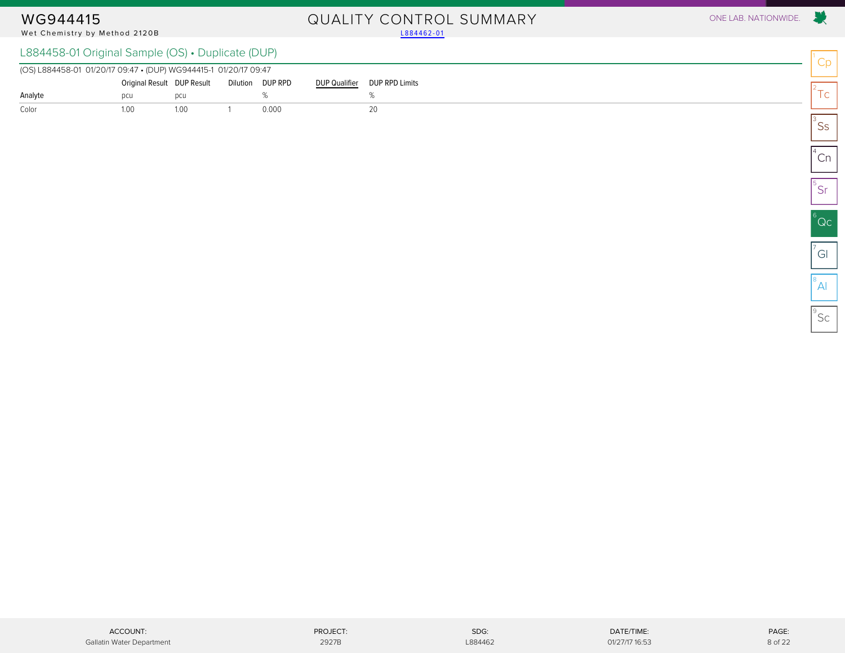# WG944415 QUALITY CONTROL SUMMARY ONE LAB. NATIONWIDE.

#### Wet Chemistry by Method 2120B L884458-01 Original Sample (OS) • Duplicate (DUP)

| L884458-01 Original Sample (OS) • Duplicate (DUP) |  |  |
|---------------------------------------------------|--|--|
|---------------------------------------------------|--|--|

<span id="page-7-0"></span>

| (OS) L884458-01 01/20/17 09:47 • (DUP) WG944415-1 01/20/17 09:47 |      |                                             |       |                      |                |  |
|------------------------------------------------------------------|------|---------------------------------------------|-------|----------------------|----------------|--|
|                                                                  |      | Original Result DUP Result Dilution DUP RPD |       | <b>DUP Qualifier</b> | DUP RPD Limits |  |
| Analyte                                                          |      | pcu                                         |       |                      |                |  |
| Color                                                            | 1.00 | 1 0 0                                       | 0.000 |                      |                |  |

| 2<br>Гc                        |
|--------------------------------|
|                                |
|                                |
| $\overline{\text{C}}$ n        |
|                                |
| $\overline{\frac{1}{2}}$       |
|                                |
|                                |
| $\overline{\mathsf{Q}}$ c<br>6 |
|                                |
| $\overline{\overline{G}}$      |
|                                |
| 8<br>Ñ                         |
|                                |

Cp

 $\rightarrow$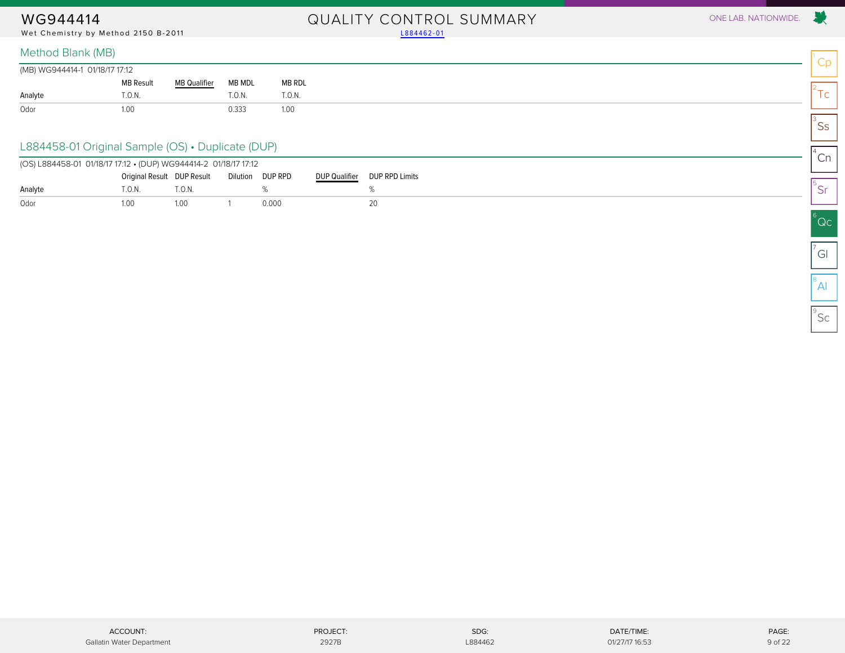Wet Chemistry by Method 2150 B-2011

# WG944414 OUALITY CONTROL SUMMARY ONE LAB. NATIONWIDE.<br>Wet Chemistry by Method 2150 B-2011 2150 Prices and the Chemistry by Method 2150 B-2011

| (MB) WG944414-1 01/18/17 17:12 |                  |                     |        |               |
|--------------------------------|------------------|---------------------|--------|---------------|
|                                | <b>MB Result</b> | <b>MB Qualifier</b> | MB MDL | <b>MB RDL</b> |
| Analyte                        | T.0.N.           |                     | T.0.N. | T.0.N.        |
| Odor                           | 1.00             |                     | 0.333  | 1.00          |

#### L884458-01 Original Sample (OS) • Duplicate (DUP)

<span id="page-8-0"></span>

| (OS) L884458-01 01/18/17 17:12 • (DUP) WG944414-2 01/18/17 17:12 |                            |       |          |         |               |                |
|------------------------------------------------------------------|----------------------------|-------|----------|---------|---------------|----------------|
|                                                                  | Original Result DUP Result |       | Dilution | DUP RPD | DUP Qualifier | DUP RPD Limits |
| Analyte                                                          | Т.O.N.                     | `.0.N |          |         |               |                |
| Odor                                                             | .00                        | 1.00  |          | 0.000   |               | 20             |

Cp

X.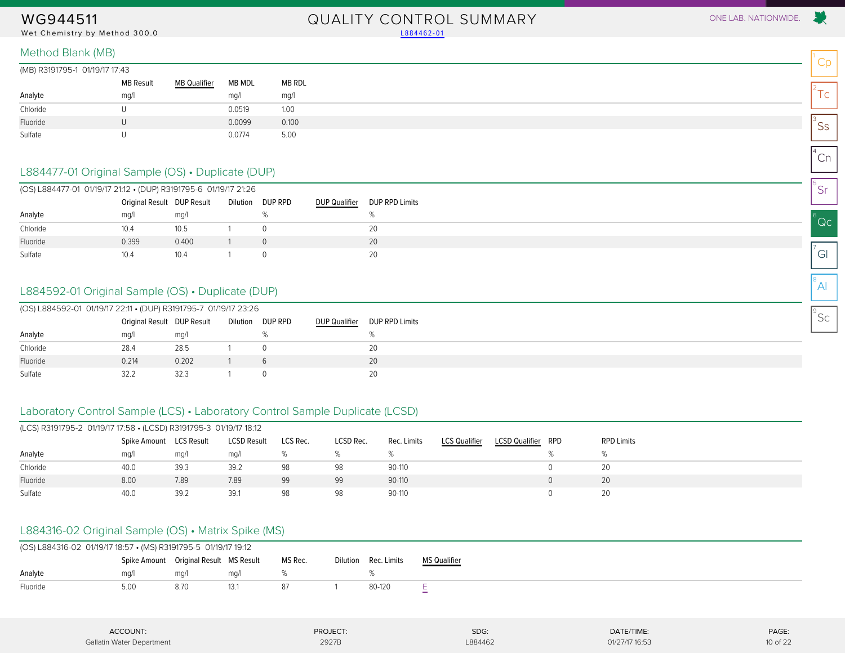#### Wet Chemistry by Method 300.0 Land and the control of the control of the control of the control of the control of the control of the control of the control of the control of the control of the control of the control of the

# WG944511 QUALITY CONTROL SUMMARY ONE LAB. NATIONWIDE.

 $^1$ Cp

 $2^2$ Tc

 $\mathsf{^{3}SS}$ 

 $^{4}$ Cn

5 Sr

 $^6$ Qc

 $\sigma$ <sup>7</sup>Gl

 $^8$ Al

 $^{\circ}$ Sc

#### Method Blank (MB)

(MB) R3191795-1 01/19/17 17:43

| כד. זו זווכו זוט ו ככ זוכוכאו נשואון |                  |                     |        |        |
|--------------------------------------|------------------|---------------------|--------|--------|
|                                      | <b>MB Result</b> | <b>MB Qualifier</b> | MB MDL | MB RDL |
| Analyte                              | mq/1             |                     | mq/l   | mg/l   |
| Chloride                             |                  |                     | 0.0519 | 1.00   |
| Fluoride                             |                  |                     | 0.0099 | 0.100  |
| Sulfate                              |                  |                     | 0.0774 | 5.00   |

### L884477-01 Original Sample (OS) • Duplicate (DUP)

<span id="page-9-0"></span>

|          | (OS) L884477-01 01/19/17 21:12 • (DUP) R3191795-6 01/19/17 21:26 |       |  |                  |                      |                |  |  |  |  |  |  |  |
|----------|------------------------------------------------------------------|-------|--|------------------|----------------------|----------------|--|--|--|--|--|--|--|
|          | Original Result DUP Result                                       |       |  | Dilution DUP RPD | <b>DUP Qualifier</b> | DUP RPD Limits |  |  |  |  |  |  |  |
| Analyte  | ma/l                                                             | mq/1  |  |                  |                      |                |  |  |  |  |  |  |  |
| Chloride | 10.4                                                             | 10.5  |  |                  |                      | 20             |  |  |  |  |  |  |  |
| Fluoride | 0.399                                                            | 0.400 |  |                  |                      | 20             |  |  |  |  |  |  |  |
| Sulfate  | 10.4                                                             | 10.4  |  |                  |                      | 20             |  |  |  |  |  |  |  |

### L884592-01 Original Sample (OS) • Duplicate (DUP)

|          | (OS) L884592-01 01/19/17 22:11 • (DUP) R3191795-7 01/19/17 23:26 |       |  |                  |               |                |  |  |  |  |  |  |
|----------|------------------------------------------------------------------|-------|--|------------------|---------------|----------------|--|--|--|--|--|--|
|          | Original Result DUP Result                                       |       |  | Dilution DUP RPD | DUP Qualifier | DUP RPD Limits |  |  |  |  |  |  |
| Analyte  | mq/l                                                             | mg/l  |  |                  |               |                |  |  |  |  |  |  |
| Chloride | 28.4                                                             | 28.5  |  |                  |               | 20             |  |  |  |  |  |  |
| Fluoride | 0.214                                                            | 0.202 |  |                  |               | 20             |  |  |  |  |  |  |
| Sulfate  | 32.2                                                             | 32.3  |  |                  |               |                |  |  |  |  |  |  |

### Laboratory Control Sample (LCS) • Laboratory Control Sample Duplicate (LCSD)

| (LCS) R3191795-2 01/19/17 17:58 • (LCSD) R3191795-3 01/19/17 18:12 |                         |      |                    |          |           |             |                      |                       |     |                   |  |
|--------------------------------------------------------------------|-------------------------|------|--------------------|----------|-----------|-------------|----------------------|-----------------------|-----|-------------------|--|
|                                                                    | Spike Amount LCS Result |      | <b>LCSD Result</b> | LCS Rec. | LCSD Rec. | Rec. Limits | <b>LCS Qualifier</b> | <b>LCSD Qualifier</b> | RPD | <b>RPD Limits</b> |  |
| Analyte                                                            | mq/1                    | mq/l | mq/                |          |           |             |                      |                       |     |                   |  |
| Chloride                                                           | 40.0                    | 39.3 | 39.2               | 98       | 98        | 90-110      |                      |                       |     | 20                |  |
| Fluoride                                                           | 8.00                    | 7.89 | 7.89               | 99       | 99        | 90-110      |                      |                       |     | 20                |  |
| Sulfate                                                            | 40.0                    | 39.2 | 39.1               | 98       | 98        | 90-110      |                      |                       |     | 20                |  |

### L884316-02 Original Sample (OS) • Matrix Spike (MS)

| (OS) L884316-02 01/19/17 18:57 • (MS) R3191795-5 01/19/17 19:12 |                  |                                        |      |         |  |                      |                     |  |  |  |  |
|-----------------------------------------------------------------|------------------|----------------------------------------|------|---------|--|----------------------|---------------------|--|--|--|--|
|                                                                 |                  | Spike Amount Original Result MS Result |      | MS Rec. |  | Dilution Rec. Limits | <b>MS Qualifier</b> |  |  |  |  |
| Analyte                                                         | ma/              | ma/i                                   | ma/1 |         |  |                      |                     |  |  |  |  |
| Fluoride                                                        | 5.0 <sup>c</sup> | 8.70                                   | 13.1 |         |  | 80-120               |                     |  |  |  |  |

| ACCOUNT:                  | PROJECT:<br>. | SDG:    | DATE/TIME:<br>the contract of the contract of the contract of | PAGE:    |
|---------------------------|---------------|---------|---------------------------------------------------------------|----------|
| Gallatin Water Department | 2927B         | L884462 | 01/27/17 16:53                                                | 10 of 22 |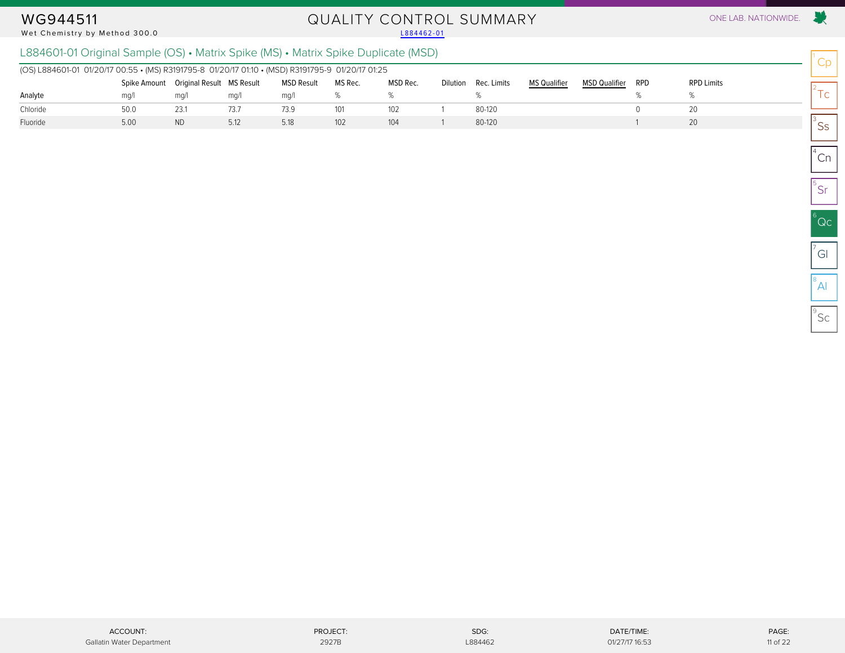#### Wet Chemistry by Method 300.0

# WG944511 QUALITY CONTROL SUMMARY ONE LAB. NATIONWIDE.<br>Wet Chemistry by Method 300.0

### L884601-01 Original Sample (OS) • Matrix Spike (MS) • Matrix Spike Duplicate (MSD)

| (OS) L884601-01 01/20/17 00:55 • (MS) R3191795-8 01/20/17 01:10 • (MSD) R3191795-9 01/20/17 01:25 |              |                           |      |                   |         |          |                      |                     |                      |            |                   |
|---------------------------------------------------------------------------------------------------|--------------|---------------------------|------|-------------------|---------|----------|----------------------|---------------------|----------------------|------------|-------------------|
|                                                                                                   | Spike Amount | Original Result MS Result |      | <b>MSD Result</b> | MS Rec. | MSD Rec. | Dilution Rec. Limits | <b>MS Qualifier</b> | <b>MSD Qualifier</b> | <b>RPD</b> | <b>RPD Limits</b> |
| Analyte                                                                                           | ma/1         | mg/                       | ma/l | ma/l              |         |          |                      |                     |                      |            |                   |
| Chloride                                                                                          | 50.0         | 23.1                      | 73.7 | 73.9              | 101     | 102      | 80-120               |                     |                      |            |                   |
| Fluoride                                                                                          | 5.00         | <b>ND</b>                 | 5.12 | 5.18              | 102     | 104      | 80-120               |                     |                      |            |                   |

Cp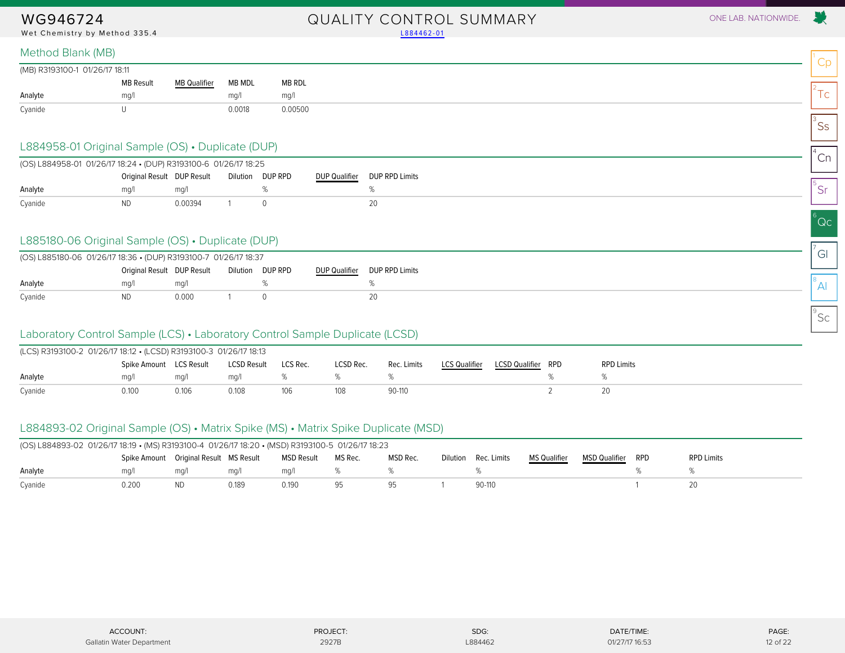Wet Chemistry by Method 335.4 [L884462-01](#page-4-1)

# WG946724 QUALITY CONTROL SUMMARY ONE LAB. NATIONWIDE.

| (MB) R3193100-1 01/26/17 18:11 |                  |                     |        |         |
|--------------------------------|------------------|---------------------|--------|---------|
|                                | <b>MB Result</b> | <b>MB Qualifier</b> | MB MDL | MB RDL  |
| Analyte                        | mq/1             |                     | ma/1   | mq/     |
| Cyanide                        |                  |                     | 0.0018 | 0.00500 |

#### L884958-01 Original Sample (OS) • Duplicate (DUP)

<span id="page-11-0"></span>

| (OS) L884958-01 01/26/17 18:24 • (DUP) R3193100-6 01/26/17 18:25 |                            |         |          |         |                      |                       |
|------------------------------------------------------------------|----------------------------|---------|----------|---------|----------------------|-----------------------|
|                                                                  | Original Result DUP Result |         | Dilution | DUP RPD | <b>DUP Qualifier</b> | <b>DUP RPD Limits</b> |
| Analyte                                                          | ma/                        | ma/l    |          |         |                      |                       |
| Cyanide                                                          | ND.                        | 0.00394 |          |         |                      |                       |

### L885180-06 Original Sample (OS) • Duplicate (DUP)

| (OS) L885180-06 01/26/17 18:36 • (DUP) R3193100-7 01/26/17 18:37               |     |       |  |  |  |  |  |  |  |  |
|--------------------------------------------------------------------------------|-----|-------|--|--|--|--|--|--|--|--|
| Original Result DUP Result<br>Dilution DUP RPD<br>DUP Qualifier DUP RPD Limits |     |       |  |  |  |  |  |  |  |  |
| Analyte                                                                        | ma/ | ma/l  |  |  |  |  |  |  |  |  |
| Cyanide                                                                        | ND. | 0.000 |  |  |  |  |  |  |  |  |

#### Laboratory Control Sample (LCS) • Laboratory Control Sample Duplicate (LCSD)

| (LCS) R3193100-2 01/26/17 18:12 • (LCSD) R3193100-3 01/26/17 18:13 |                         |       |             |          |           |             |                      |                    |  |                   |  |
|--------------------------------------------------------------------|-------------------------|-------|-------------|----------|-----------|-------------|----------------------|--------------------|--|-------------------|--|
|                                                                    | Spike Amount LCS Result |       | LCSD Result | LCS Rec. | LCSD Rec. | Rec. Limits | <b>LCS Qualifier</b> | LCSD Qualifier RPD |  | <b>RPD Limits</b> |  |
| Analyte                                                            | ma/l                    | ma/l  | ma/l        |          |           |             |                      |                    |  |                   |  |
| Cyanide                                                            | 0.100                   | 0.106 | 0.108       | 106      |           | 90-110      |                      |                    |  |                   |  |

### L884893-02 Original Sample (OS) • Matrix Spike (MS) • Matrix Spike Duplicate (MSD)

| (OS) L884893-02 01/26/17 18:19 • (MS) R3193100-4 01/26/17 18:20 • (MSD) R3193100-5 01/26/17 18:23 |                                          |           |       |            |         |          |          |             |                     |                      |     |                   |
|---------------------------------------------------------------------------------------------------|------------------------------------------|-----------|-------|------------|---------|----------|----------|-------------|---------------------|----------------------|-----|-------------------|
|                                                                                                   | Spike Amount  Original Result  MS Result |           |       | MSD Result | MS Rec. | MSD Rec. | Dilution | Rec. Limits | <b>MS Qualifier</b> | <b>MSD Qualifier</b> | RPD | <b>RPD Limits</b> |
| Analyte                                                                                           | ma/l                                     | ma/l      | ma/l  | ma/l       |         |          |          |             |                     |                      |     |                   |
| Cyanide                                                                                           | 0.200                                    | <b>ND</b> | 0.189 | 0.190      |         |          |          | $90-110$    |                     |                      |     |                   |

| ACCOUNT:                  | PROJECT: | SDG:    | DATE/TIME:     | PAGE:    |
|---------------------------|----------|---------|----------------|----------|
| Gallatin Water Department | 2927E    | L884462 | 01/27/17 16:53 | 12 of 22 |

Cp

 $2^2$ Tc

 $\mathsf{^{3}SS}$ 

 $^{4}$ Cn

5 Sr

 $^6$ Qc

 $\sigma$ <sup>7</sup>Gl

 $^8$ Al

 $^{\circ}$ Sc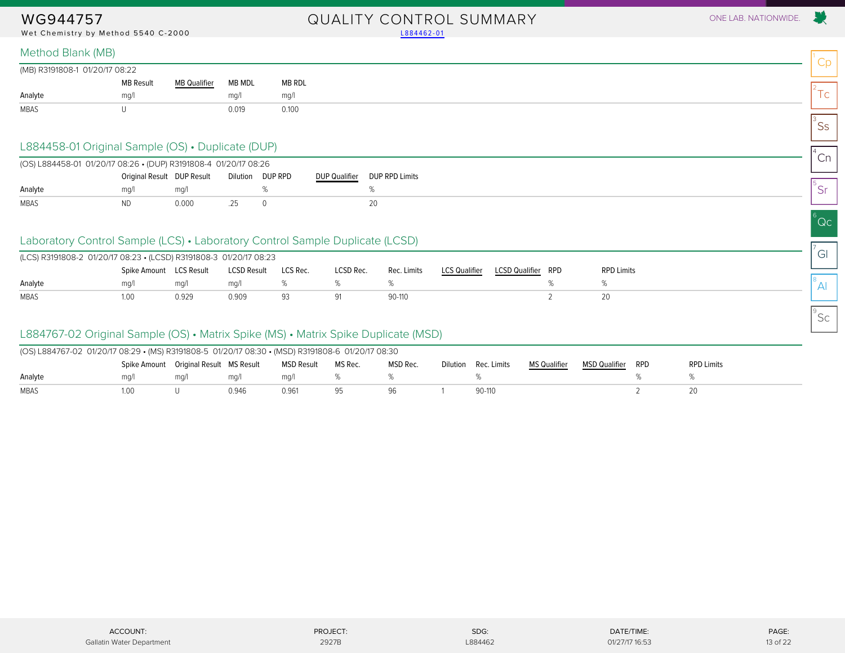Wet Chemistry by Method 5540 C-2000 [L884462-01](#page-4-1)

# WG944757 QUALITY CONTROL SUMMARY ONE LAB. NATIONWIDE.

Cp

 $2^2$ Tc

 $\mathsf{^{3}SS}$ 

 $^{4}$ Cn

5 Sr

 $^6$ Qc

 $\sigma$ <sup>7</sup>Gl

 $^8$ Al

 $^{\circ}$ Sc

#### Method Blank (MB)

| (MB) R3191808-1 01/20/17 08:22 |                  |                                                               |        |        |
|--------------------------------|------------------|---------------------------------------------------------------|--------|--------|
|                                | <b>MB Result</b> | <b>MB Qualifier</b><br>the control of the control of the con- | MB MDL | MB RDL |
| Analyte                        | ma/              |                                                               | mq/    | mq/1   |
| MBAS                           |                  |                                                               | 0.019  | 0.100  |

#### L884458-01 Original Sample (OS) • Duplicate (DUP)

<span id="page-12-0"></span>

|             | (OS) L884458-01 01/20/17 08:26 • (DUP) R3191808-4 01/20/17 08:26<br>Original Result DUP Result<br>Dilution DUP RPD<br>ma/l<br>ma/<br><b>ND</b><br>0.000 |  |  |  |               |                |  |  |  |  |
|-------------|---------------------------------------------------------------------------------------------------------------------------------------------------------|--|--|--|---------------|----------------|--|--|--|--|
|             |                                                                                                                                                         |  |  |  | DUP Qualifier | DUP RPD Limits |  |  |  |  |
| Analyte     |                                                                                                                                                         |  |  |  |               |                |  |  |  |  |
| <b>MBAS</b> |                                                                                                                                                         |  |  |  |               |                |  |  |  |  |

### Laboratory Control Sample (LCS) • Laboratory Control Sample Duplicate (LCSD)

| (LCS) R3191808-2 01/20/17 08:23 • (LCSD) R3191808-3 01/20/17 08:23 |                         |       |                    |          |           |             |               |                       |     |                   |
|--------------------------------------------------------------------|-------------------------|-------|--------------------|----------|-----------|-------------|---------------|-----------------------|-----|-------------------|
|                                                                    | Spike Amount LCS Result |       | <b>LCSD Result</b> | LCS Rec. | LCSD Rec. | Rec. Limits | LCS Qualifier | <b>LCSD Qualifier</b> | RPD | <b>RPD Limits</b> |
| Analyte                                                            | ma/l                    | ma/   | ma/                |          |           |             |               |                       |     |                   |
| MBAS                                                               | 1.00                    | 0.929 | 0.909              | 93       |           | 90-110      |               |                       |     |                   |

### L884767-02 Original Sample (OS) • Matrix Spike (MS) • Matrix Spike Duplicate (MSD)

| (OS) L884767-02 01/20/17 08:29 • (MS) R3191808-5 01/20/17 08:30 • (MSD) R3191808-6 01/20/17 08:30 |                                        |      |       |            |         |          |          |             |                     |               |     |                   |
|---------------------------------------------------------------------------------------------------|----------------------------------------|------|-------|------------|---------|----------|----------|-------------|---------------------|---------------|-----|-------------------|
|                                                                                                   | Spike Amount Original Result MS Result |      |       | MSD Result | MS Rec. | MSD Rec. | Dilution | Rec. Limits | <b>MS Qualifier</b> | MSD Qualifier | RPD | <b>RPD Limits</b> |
| Analyte                                                                                           | ma/1                                   | ma/l | ma/l  | ma/        |         |          |          |             |                     |               |     |                   |
| MBAS                                                                                              | LOO                                    |      | 0.946 | 0.961      |         |          |          | 90-110      |                     |               |     |                   |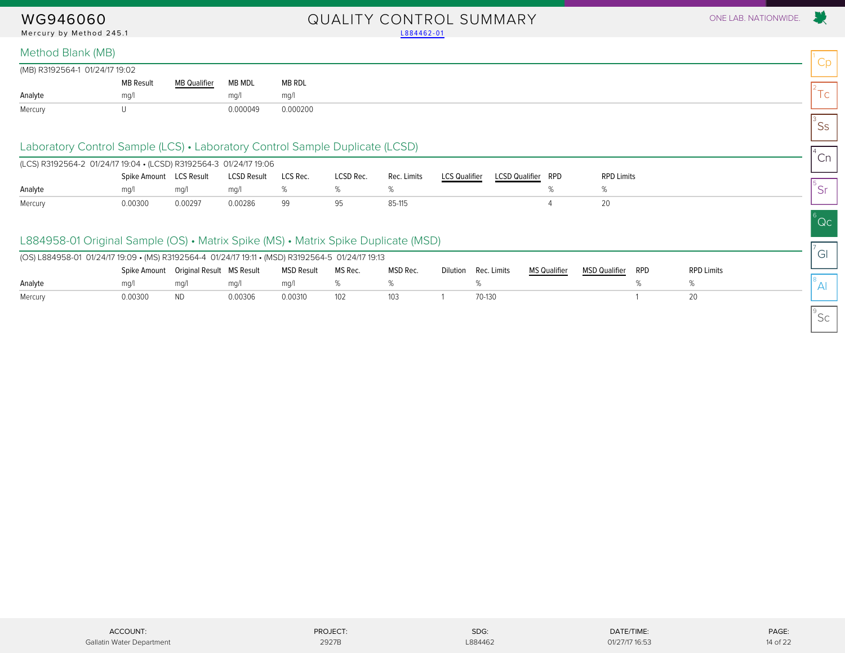#### WG946060 QUALITY CONTROL SUMMARY ONE LAB. NATIONWIDE. Mercury by Method 245.1 and the control of the control of the control of the control of the control of the control of the control of the control of the control of the control of the control of the control of the control of

#### Method Blank (MB)

| (MB) R3192564-1 01/24/17 19:02 |                  |                     |          |          |
|--------------------------------|------------------|---------------------|----------|----------|
|                                | <b>MB Result</b> | <b>MB</b> Qualifier | MB MDL   | MB RDL   |
| Analyte                        | ma/              |                     | ma/l     | mg/      |
| Mercury                        |                  |                     | 0.000049 | 0.000200 |

### Laboratory Control Sample (LCS) • Laboratory Control Sample Duplicate (LCSD)

<span id="page-13-0"></span>

| (LCS) R3192564-2 01/24/17 19:04 • (LCSD) R3192564-3 01/24/17 19:06 |                         |         |                    |          |           |             |                      |                       |     |                   |
|--------------------------------------------------------------------|-------------------------|---------|--------------------|----------|-----------|-------------|----------------------|-----------------------|-----|-------------------|
|                                                                    | Spike Amount LCS Result |         | <b>LCSD Result</b> | LCS Rec. | LCSD Rec. | Rec. Limits | <b>LCS Qualifier</b> | <b>LCSD Qualifier</b> | RPD | <b>RPD Limits</b> |
| Analyte                                                            | ma/                     | ma/l    | ma/l               |          |           |             |                      |                       |     |                   |
| Mercury                                                            | 0.00300                 | 0.00297 | 0.00286            | 99       |           | 85-115      |                      |                       |     |                   |

### L884958-01 Original Sample (OS) • Matrix Spike (MS) • Matrix Spike Duplicate (MSD)

| (OS) L884958-01 01/24/17 19:09 • (MS) R3192564-4 01/24/17 19:11 • (MSD) R3192564-5 01/24/17 19:13 |         |                                          |         |            |         |          |                      |              |               |     |                   |
|---------------------------------------------------------------------------------------------------|---------|------------------------------------------|---------|------------|---------|----------|----------------------|--------------|---------------|-----|-------------------|
|                                                                                                   |         | Spike Amount  Original Result  MS Result |         | MSD Result | MS Rec. | MSD Rec. | Dilution Rec. Limits | MS Qualifier | MSD Qualifier | RPD | <b>RPD Limits</b> |
| Analyte                                                                                           | ma/1    | ma/                                      | ma/l    | ma/l       |         |          |                      |              |               |     |                   |
| Mercury                                                                                           | 0.00300 | ND.                                      | 0.00306 | 0.00310    | 102     | 103      | 70-130               |              |               |     |                   |

 $^{\circ}$ Sc

Cp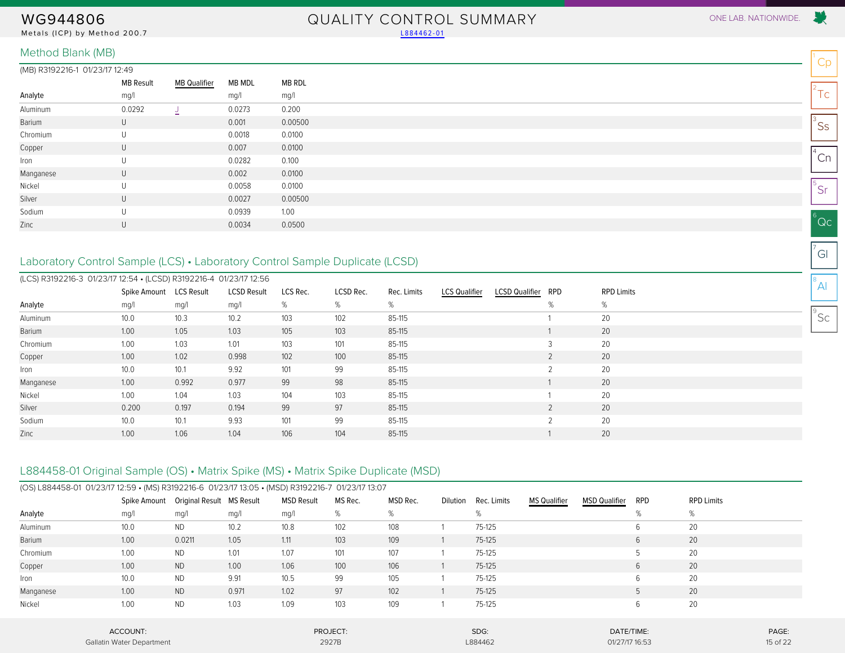Metals (ICP) by Method 200.7 [L884462-01](#page-4-1)

# WG944806 QUALITY CONTROL SUMMARY ONE LAB. NATIONWIDE.

#### (MB) R3192216-1 01/23/17 12:49

|           | <b>MB Result</b> | <b>MB Qualifier</b> | MB MDL | MB RDL  |
|-----------|------------------|---------------------|--------|---------|
| Analyte   | mg/l             |                     | mg/l   | mg/l    |
| Aluminum  | 0.0292           | ैं.                 | 0.0273 | 0.200   |
| Barium    | $\cup$           |                     | 0.001  | 0.00500 |
| Chromium  | U                |                     | 0.0018 | 0.0100  |
| Copper    | U                |                     | 0.007  | 0.0100  |
| Iron      | U                |                     | 0.0282 | 0.100   |
| Manganese | U                |                     | 0.002  | 0.0100  |
| Nickel    | U                |                     | 0.0058 | 0.0100  |
| Silver    | U                |                     | 0.0027 | 0.00500 |
| Sodium    | U                |                     | 0.0939 | 1.00    |
| Zinc      | U                |                     | 0.0034 | 0.0500  |
|           |                  |                     |        |         |

### <span id="page-14-0"></span>Laboratory Control Sample (LCS) • Laboratory Control Sample Duplicate (LCSD)

| (LCS) R3192216-3 01/23/17 12:54 • (LCSD) R3192216-4 01/23/17 12:56 |                         |       |                    |          |           |             |                      |                       |     |                   |
|--------------------------------------------------------------------|-------------------------|-------|--------------------|----------|-----------|-------------|----------------------|-----------------------|-----|-------------------|
|                                                                    | Spike Amount LCS Result |       | <b>LCSD Result</b> | LCS Rec. | LCSD Rec. | Rec. Limits | <b>LCS Qualifier</b> | <b>LCSD Qualifier</b> | RPD | <b>RPD Limits</b> |
| Analyte                                                            | mg/l                    | mg/l  | mg/l               | %        | %         | %           |                      |                       | %   | %                 |
| Aluminum                                                           | 10.0                    | 10.3  | 10.2               | 103      | 102       | 85-115      |                      |                       |     | 20                |
| Barium                                                             | 1.00                    | 1.05  | 1.03               | 105      | 103       | 85-115      |                      |                       |     | 20                |
| Chromium                                                           | 1.00                    | 1.03  | 1.01               | 103      | 101       | 85-115      |                      |                       |     | 20                |
| Copper                                                             | 1.00                    | 1.02  | 0.998              | 102      | 100       | 85-115      |                      |                       |     | 20                |
| Iron                                                               | 10.0                    | 10.1  | 9.92               | 101      | 99        | 85-115      |                      |                       |     | 20                |
| Manganese                                                          | 1.00                    | 0.992 | 0.977              | 99       | 98        | 85-115      |                      |                       |     | 20                |
| Nickel                                                             | 1.00                    | 1.04  | 1.03               | 104      | 103       | 85-115      |                      |                       |     | 20                |
| Silver                                                             | 0.200                   | 0.197 | 0.194              | 99       | 97        | 85-115      |                      |                       |     | 20                |
| Sodium                                                             | 10.0                    | 10.1  | 9.93               | 101      | 99        | 85-115      |                      |                       | C.  | 20                |
| Zinc                                                               | 1.00                    | 1.06  | 1.04               | 106      | 104       | 85-115      |                      |                       |     | 20                |

### L884458-01 Original Sample (OS) • Matrix Spike (MS) • Matrix Spike Duplicate (MSD)

|           | (OS) L884458-01 01/23/17 12:59 • (MS) R3192216-6 01/23/17 13:05 • (MSD) R3192216-7 01/23/17 13:07 |                           |       |                   |          |          |          |             |                     |                      |     |                   |          |
|-----------|---------------------------------------------------------------------------------------------------|---------------------------|-------|-------------------|----------|----------|----------|-------------|---------------------|----------------------|-----|-------------------|----------|
|           | Spike Amount                                                                                      | Original Result MS Result |       | <b>MSD Result</b> | MS Rec.  | MSD Rec. | Dilution | Rec. Limits | <b>MS Qualifier</b> | <b>MSD Qualifier</b> | RPD | <b>RPD Limits</b> |          |
| Analyte   | mg/l                                                                                              | mg/l                      | mg/l  | mg/l              | %        | %        |          | %           |                     |                      | %   | %                 |          |
| Aluminum  | 10.0                                                                                              | <b>ND</b>                 | 10.2  | 10.8              | 102      | 108      |          | 75-125      |                     |                      | 6   | 20                |          |
| Barium    | 1.00                                                                                              | 0.0211                    | 1.05  | 1.11              | 103      | 109      |          | 75-125      |                     |                      | 6   | 20                |          |
| Chromium  | 1.00                                                                                              | <b>ND</b>                 | 1.01  | 1.07              | 101      | 107      |          | 75-125      |                     |                      |     | 20                |          |
| Copper    | 1.00                                                                                              | <b>ND</b>                 | 1.00  | 1.06              | 100      | 106      |          | 75-125      |                     |                      | 6   | 20                |          |
| Iron      | 10.0                                                                                              | <b>ND</b>                 | 9.91  | 10.5              | 99       | 105      |          | 75-125      |                     |                      | 6   | 20                |          |
| Manganese | 1.00                                                                                              | <b>ND</b>                 | 0.971 | 1.02              | 97       | 102      |          | $75-125$    |                     |                      | 5   | 20                |          |
| Nickel    | 1.00                                                                                              | <b>ND</b>                 | 1.03  | 1.09              | 103      | 109      |          | 75-125      |                     |                      | 6   | 20                |          |
|           | ACCOUNT:                                                                                          |                           |       |                   | PROJECT: |          |          | SDG:        |                     | DATE/TIME:           |     |                   | PAGE:    |
|           | Gallatin Water Department                                                                         |                           |       |                   | 2927B    |          |          | L884462     |                     | 01/27/17 16:53       |     |                   | 15 of 22 |

Cp  $2^2$ Tc  $\mathsf{^{3}SS}$ 

5 Sr  $^6$ Qc

 $^{4}$ Cn

 $\sigma$ <sup>7</sup>Gl  $^8$ Al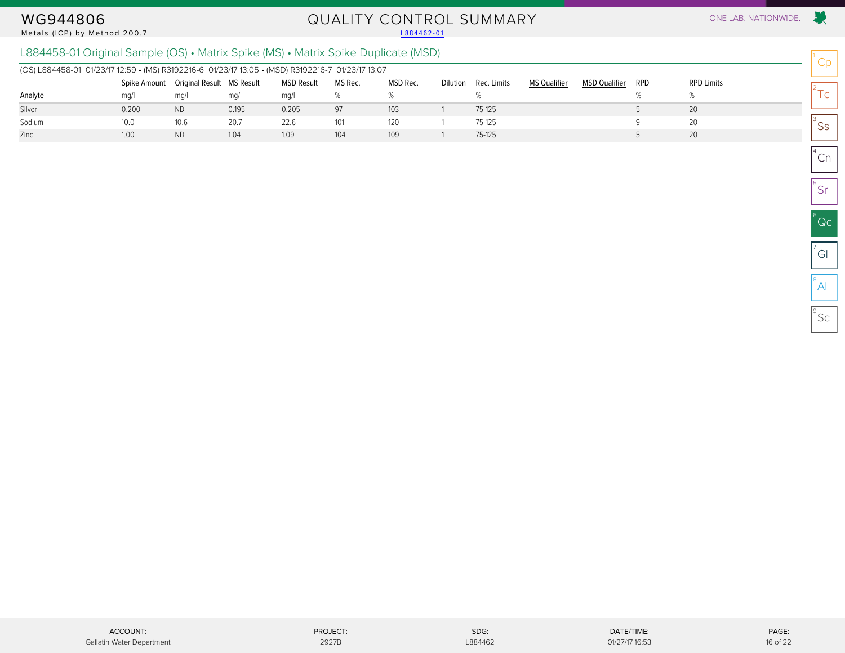#### Metals (ICP) by Method 200.7

# WG944806 QUALITY CONTROL SUMMARY ONE LAB. NATIONWIDE.<br>Metals (ICP) by Method 200.7 L884462-01

Cp

 $2^2$ Tc

 $\mathsf{^{3}SS}$ 

 $^{4}$ Cn

5 Sr

 $^6$ Qc

 $\sigma$ <sup>7</sup>Gl

 $^8$ Al

 $^{\circ}$ Sc

### L884458-01 Original Sample (OS) • Matrix Spike (MS) • Matrix Spike Duplicate (MSD)

| (OS) L884458-01 01/23/17 12:59 • (MS) R3192216-6 01/23/17 13:05 • (MSD) R3192216-7 01/23/17 13:07 |       |                                        |       |                   |         |          |                 |             |                     |                      |     |                   |
|---------------------------------------------------------------------------------------------------|-------|----------------------------------------|-------|-------------------|---------|----------|-----------------|-------------|---------------------|----------------------|-----|-------------------|
|                                                                                                   |       | Spike Amount Original Result MS Result |       | <b>MSD Result</b> | MS Rec. | MSD Rec. | <b>Dilution</b> | Rec. Limits | <b>MS Qualifier</b> | <b>MSD Qualifier</b> | RPD | <b>RPD Limits</b> |
| Analyte                                                                                           | ma/l  | mq/                                    | mq/l  | ma/l              |         |          |                 |             |                     |                      |     |                   |
| Silver                                                                                            | 0.200 | <b>ND</b>                              | 0.195 | 0.205             | 97      | 103      |                 | 75-125      |                     |                      |     | 20                |
| Sodium                                                                                            | 10.0  | 10.6                                   | 20.7  | 22.6              | 101     | 120      |                 | 75-125      |                     |                      |     | 20                |
| Zinc                                                                                              | 1.00  | <b>ND</b>                              | 1.04  | 1.09              | 104     | 109      |                 | 75-125      |                     |                      |     | 20                |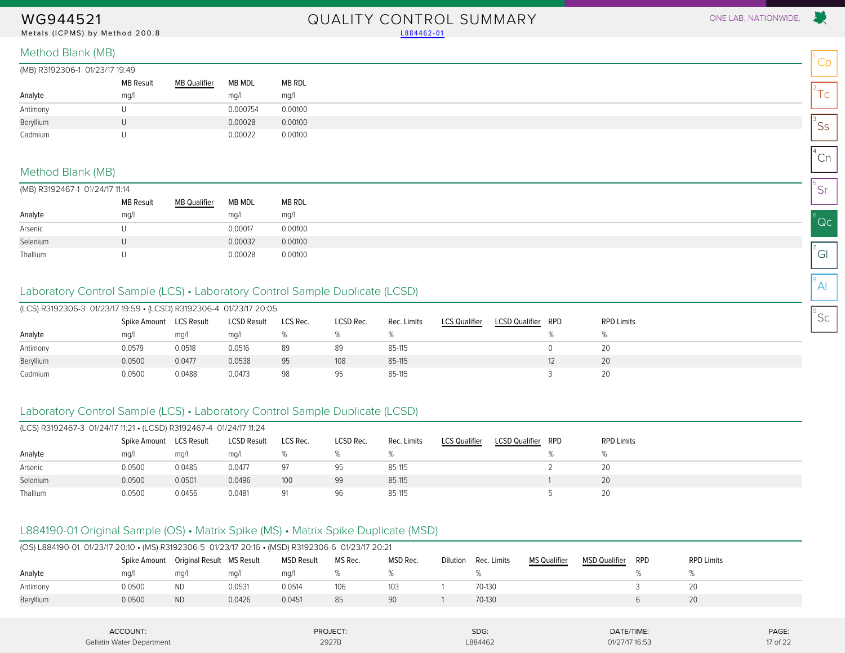Metals (ICPMS) by Method 200.8 [L884462-01](#page-4-1)

# WG944521 QUALITY CONTROL SUMMARY ONE LAB. NATIONWIDE.

| (MB) R3192306-1 01/23/17 19:49 |                  |                     |          |         |  |  |  |
|--------------------------------|------------------|---------------------|----------|---------|--|--|--|
|                                | <b>MB Result</b> | <b>MB Qualifier</b> | MB MDL   | MB RDL  |  |  |  |
| Analyte                        | mg/              |                     | mg/l     | mq/1    |  |  |  |
| Antimony                       |                  |                     | 0.000754 | 0.00100 |  |  |  |
| Beryllium                      | U                |                     | 0.00028  | 0.00100 |  |  |  |
| Cadmium                        |                  |                     | 0.00022  | 0.00100 |  |  |  |

#### Method Blank (MB)

|  |  | (MB) R3192467-1 01/24/17 11:14 |  |  |
|--|--|--------------------------------|--|--|
|--|--|--------------------------------|--|--|

<span id="page-16-0"></span>

|          | <b>MB Result</b> | <b>MB Qualifier</b> | MB MDL  | MB RDL  |  |  |  |
|----------|------------------|---------------------|---------|---------|--|--|--|
| Analyte  | mg/              |                     | mq/1    | mg/l    |  |  |  |
| Arsenic  |                  |                     | 0.00017 | 0.00100 |  |  |  |
| Selenium |                  |                     | 0.00032 | 0.00100 |  |  |  |
| Thallium |                  |                     | 0.00028 | 0.00100 |  |  |  |

### Laboratory Control Sample (LCS) • Laboratory Control Sample Duplicate (LCSD)

| (LCS) R3192306-3 01/23/17 19:59 • (LCSD) R3192306-4 01/23/17 20:05 |              |            |                    |          |           |             |                      |                       |     |                   |
|--------------------------------------------------------------------|--------------|------------|--------------------|----------|-----------|-------------|----------------------|-----------------------|-----|-------------------|
|                                                                    | Spike Amount | LCS Result | <b>LCSD Result</b> | LCS Rec. | LCSD Rec. | Rec. Limits | <b>LCS Qualifier</b> | <b>LCSD Qualifier</b> | RPD | <b>RPD Limits</b> |
| Analyte                                                            | mq/1         | ma/l       | mq/1               |          |           |             |                      |                       |     |                   |
| Antimony                                                           | 0.0579       | 0.0518     | 0.0516             | 89       | 89        | 85-115      |                      |                       |     | 20                |
| Beryllium                                                          | 0.0500       | 0.0477     | 0.0538             | 95       | 108       | 85-115      |                      |                       |     | 20                |
| Cadmium                                                            | 0.0500       | 0.0488     | 0.0473             | 98       | 95        | 85-115      |                      |                       |     | 20                |

### Laboratory Control Sample (LCS) • Laboratory Control Sample Duplicate (LCSD)

| (LCS) R3192467-3 01/24/17 11:21 • (LCSD) R3192467-4 01/24/17 11:24 |                         |        |                    |          |           |             |                      |                       |     |                   |
|--------------------------------------------------------------------|-------------------------|--------|--------------------|----------|-----------|-------------|----------------------|-----------------------|-----|-------------------|
|                                                                    | Spike Amount LCS Result |        | <b>LCSD Result</b> | LCS Rec. | LCSD Rec. | Rec. Limits | <b>LCS Qualifier</b> | <b>LCSD Qualifier</b> | RPD | <b>RPD Limits</b> |
| Analyte                                                            | mq/1                    | mq/l   | mq/1               |          |           |             |                      |                       |     |                   |
| Arsenic                                                            | 0.0500                  | 0.0485 | 0.0477             | 97       | 95        | 85-115      |                      |                       |     | 20                |
| Selenium                                                           | 0.0500                  | 0.0501 | 0.0496             | 100      | 99        | 85-115      |                      |                       |     | 20                |
| Thallium                                                           | 0.0500                  | 0.0456 | 0.0481             | 91       | 96        | 85-115      |                      |                       |     | 20                |

### L884190-01 Original Sample (OS) • Matrix Spike (MS) • Matrix Spike Duplicate (MSD)

| (OS) L884190-01 01/23/17 20:10 • (MS) R3192306-5 01/23/17 20:16 • (MSD) R3192306-6 01/23/17 20:21 |        |                                        |        |                   |         |          |          |             |                     |                      |            |                   |
|---------------------------------------------------------------------------------------------------|--------|----------------------------------------|--------|-------------------|---------|----------|----------|-------------|---------------------|----------------------|------------|-------------------|
|                                                                                                   |        | Spike Amount Original Result MS Result |        | <b>MSD Result</b> | MS Rec. | MSD Rec. | Dilution | Rec. Limits | <b>MS Qualifier</b> | <b>MSD Qualifier</b> | <b>RPD</b> | <b>RPD Limits</b> |
| Analyte                                                                                           | ma/l   | ma/l                                   | mq/1   | ma/l              |         |          |          |             |                     |                      |            |                   |
| Antimony                                                                                          | 0.0500 | ND                                     | 0.0531 | 0.0514            | 106     | 103      |          | 70-130      |                     |                      |            |                   |
| Beryllium                                                                                         | 0.0500 | <b>ND</b>                              | 0.0426 | 0.0451            | 85      | 90       |          | 70-130      |                     |                      |            | 20                |
|                                                                                                   |        |                                        |        |                   |         |          |          |             |                     |                      |            |                   |

| ACCOUNT:                  | PROJECT: | SDG:    | DATE/TIME:     | PAGE.    |
|---------------------------|----------|---------|----------------|----------|
| Gallatin Water Department | 2927B    | L884462 | 01/27/17 16:53 | 17 of 22 |



Cp

 $2^2$ Tc

 $\mathsf{^{3}SS}$ 

 $^{4}$ Cn

5 Sr

 $^6$ Qc

 $\sigma$ <sup>7</sup>Gl

 $^8$ Al

 $^{\circ}$ Sc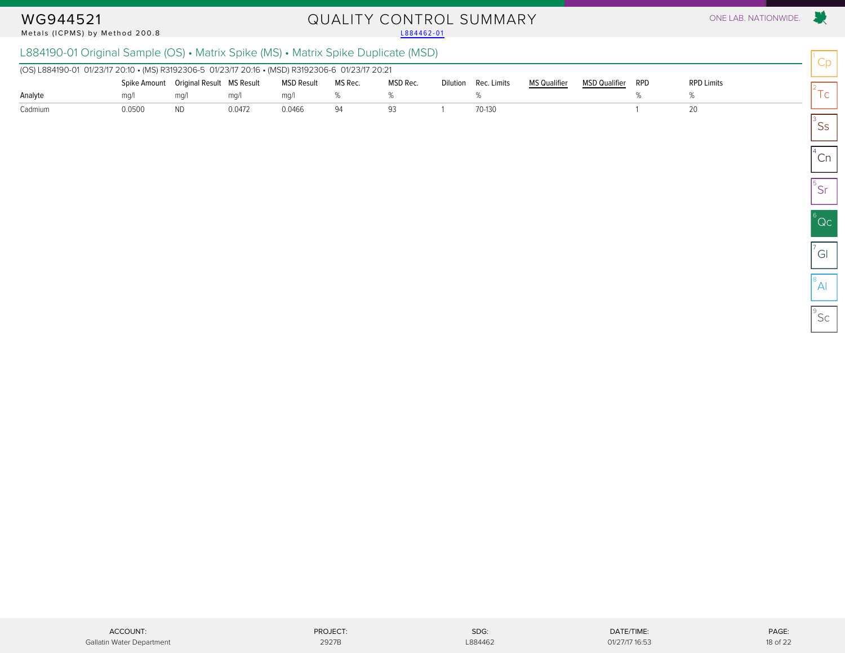#### Metals (ICPMS) by Method 200.8

# WG944521 QUALITY CONTROL SUMMARY ONE LAB. NATIONWIDE.<br>Metals (ICPMS) by Method 200.8 and the control of the control of the control of the control one lab. Nationwide

### L884190-01 Original Sample (OS) • Matrix Spike (MS) • Matrix Spike Duplicate (MSD)

| (OS) L884190-01 01/23/17 20:10 • (MS) R3192306-5 01/23/17 20:16 • (MSD) R3192306-6 01/23/17 20:21 |        |                                        |        |            |         |          |  |                      |                     |                      |     |                   |
|---------------------------------------------------------------------------------------------------|--------|----------------------------------------|--------|------------|---------|----------|--|----------------------|---------------------|----------------------|-----|-------------------|
|                                                                                                   |        | Spike Amount Original Result MS Result |        | MSD Result | MS Rec. | MSD Rec. |  | Dilution Rec. Limits | <b>MS Qualifier</b> | <b>MSD Qualifier</b> | RPD | <b>RPD Limits</b> |
| Analyte                                                                                           | ma/    | ma/1                                   | ma/    | ma/1       |         |          |  |                      |                     |                      |     |                   |
| Cadmium                                                                                           | 0.0500 | <b>ND</b>                              | 0.0472 | 0.0466     | 94      |          |  | 70-130               |                     |                      |     |                   |

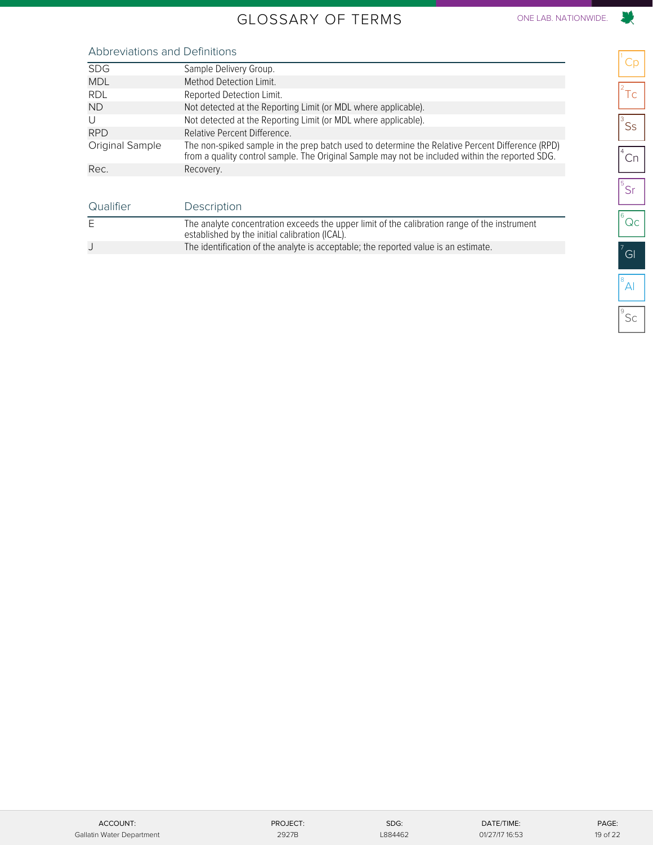## GLOSSARY OF TERMS ONE LAB. NATIONWIDE.

# 

<span id="page-18-0"></span>

| <b>SDG</b>      | Sample Delivery Group.                                                                                                                                                                             |
|-----------------|----------------------------------------------------------------------------------------------------------------------------------------------------------------------------------------------------|
| <b>MDL</b>      | Method Detection Limit.                                                                                                                                                                            |
| <b>RDL</b>      | Reported Detection Limit.                                                                                                                                                                          |
| <b>ND</b>       | Not detected at the Reporting Limit (or MDL where applicable).                                                                                                                                     |
| U               | Not detected at the Reporting Limit (or MDL where applicable).                                                                                                                                     |
| <b>RPD</b>      | Relative Percent Difference.                                                                                                                                                                       |
| Original Sample | The non-spiked sample in the prep batch used to determine the Relative Percent Difference (RPD)<br>from a quality control sample. The Original Sample may not be included within the reported SDG. |
| Rec.            | Recovery.                                                                                                                                                                                          |

| Qualifier | Description                                                                                                                                    |
|-----------|------------------------------------------------------------------------------------------------------------------------------------------------|
| Ε         | The analyte concentration exceeds the upper limit of the calibration range of the instrument<br>established by the initial calibration (ICAL). |
|           | The identification of the analyte is acceptable; the reported value is an estimate.                                                            |

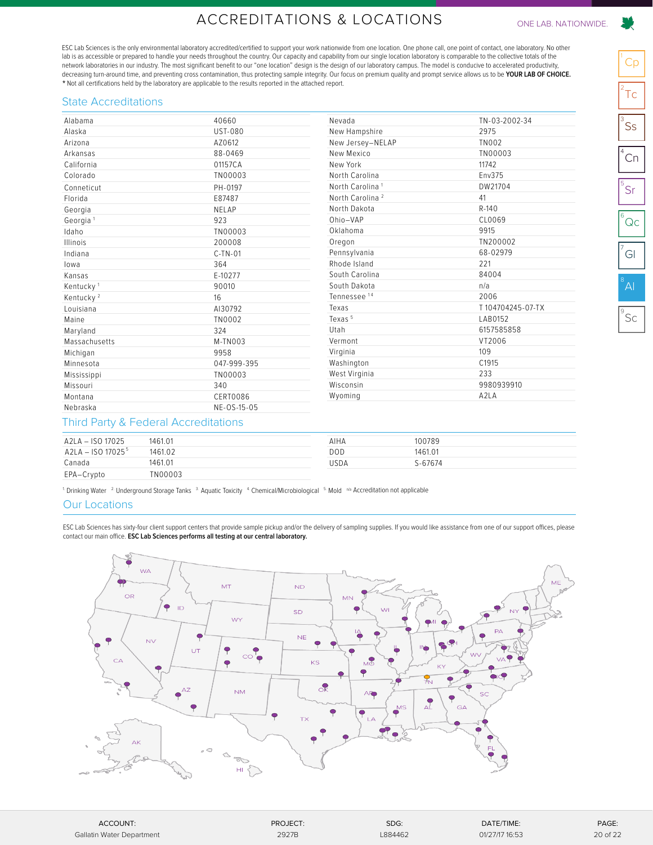## ACCREDITATIONS & LOCATIONS ONE LAB. NATIONWIDE.

<span id="page-19-0"></span>ESC Lab Sciences is the only environmental laboratory accredited/certified to support your work nationwide from one location. One phone call, one point of contact, one laboratory. No other lab is as accessible or prepared to handle your needs throughout the country. Our capacity and capability from our single location laboratory is comparable to the collective totals of the network laboratories in our industry. The most significant benefit to our "one location" design is the design of our laboratory campus. The model is conducive to accelerated productivity, decreasing turn-around time, and preventing cross contamination, thus protecting sample integrity. Our focus on premium quality and prompt service allows us to be **YOUR LAB OF CHOICE.** \* Not all certifications held by the laboratory are applicable to the results reported in the attached report.

#### State Accreditations

| Alabama               | 40660          | Nevada                      | TN-03-2002-34    |
|-----------------------|----------------|-----------------------------|------------------|
| Alaska                | <b>UST-080</b> | New Hampshire               | 2975             |
| Arizona               | AZ0612         | New Jersey-NELAP            | <b>TN002</b>     |
| Arkansas              | 88-0469        | New Mexico                  | TN00003          |
| California            | 01157CA        | New York                    | 11742            |
| Colorado              | TN00003        | North Carolina              | Env375           |
| Conneticut            | PH-0197        | North Carolina <sup>1</sup> | DW21704          |
| Florida               | E87487         | North Carolina <sup>2</sup> | 41               |
| Georgia               | NELAP          | North Dakota                | R-140            |
| Georgia <sup>1</sup>  | 923            | Ohio-VAP                    | CL0069           |
| Idaho                 | TN00003        | Oklahoma                    | 9915             |
| Illinois              | 200008         | Oregon                      | TN200002         |
| Indiana               | $C-TN-01$      | Pennsylvania                | 68-02979         |
| lowa                  | 364            | Rhode Island                | 221              |
| Kansas                | E-10277        | South Carolina              | 84004            |
| Kentucky <sup>1</sup> | 90010          | South Dakota                | n/a              |
| Kentucky <sup>2</sup> | 16             | Tennessee <sup>14</sup>     | 2006             |
| Louisiana             | AI30792        | Texas                       | T104704245-07-TX |
| Maine                 | TN0002         | Texas <sup>5</sup>          | LAB0152          |
| Maryland              | 324            | Utah                        | 6157585858       |
| Massachusetts         | M-TN003        | Vermont                     | VT2006           |
| Michigan              | 9958           | Virginia                    | 109              |
| Minnesota             | 047-999-395    | Washington                  | C1915            |
| Mississippi           | TN00003        | West Virginia               | 233              |
| Missouri              | 340            | Wisconsin                   | 9980939910       |
| Montana               | CERT0086       | Wyoming                     | A2LA             |
| Nebraska              | NE-OS-15-05    |                             |                  |

#### Third Party & Federal Accreditations

| A2LA - ISO 17025    | 1461.01 | AIHA | 100789  |
|---------------------|---------|------|---------|
| $A2LA - ISO 170255$ | 1461.02 | DOD  | 1461.01 |
| Canada              | 1461.01 | USDA | S-67674 |
| EPA-Crypto          | TN00003 |      |         |

<sup>1</sup>. Drinking Water <sup>2.</sup> Underground Storage Tanks  $3$  Aquatic Toxicity  $4$  Chemical/Microbiological  $5$  Mold  $\alpha$ <sup>5</sup> Accreditation not applicable

#### Our Locations

ESC Lab Sciences has sixty-four client support centers that provide sample pickup and/or the delivery of sampling supplies. If you would like assistance from one of our support offices, please contact our main office. **ESC Lab Sciences performs all testing at our central laboratory.**



| ACCOUNT:                  | PROJECT: | SDG:    | DATE/TIME:     | PAGE:    |
|---------------------------|----------|---------|----------------|----------|
| Gallatin Water Department | 2927B    | L884462 | 01/27/17 16:53 | 20 of 22 |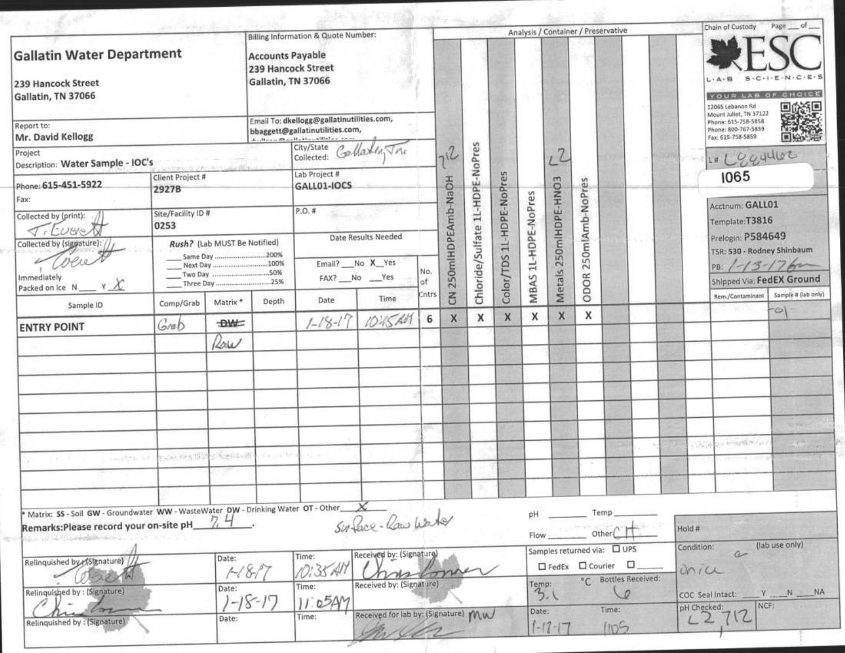| ANTI WANTS SHOULD                                                                                               |                                                    |                              | Billing Information & Quote Number:<br><b>Accounts Payable</b><br>239 Hancock Street<br>Gallatin, TN 37066          |                                         |                                     |                   | Analysis / Container / Preservative |                          |                     |                       |                 |      |                                                                   | Page of<br>Chain of Custody |                                                                                           |                            |                                 |
|-----------------------------------------------------------------------------------------------------------------|----------------------------------------------------|------------------------------|---------------------------------------------------------------------------------------------------------------------|-----------------------------------------|-------------------------------------|-------------------|-------------------------------------|--------------------------|---------------------|-----------------------|-----------------|------|-------------------------------------------------------------------|-----------------------------|-------------------------------------------------------------------------------------------|----------------------------|---------------------------------|
| <b>Gallatin Water Department</b><br>239 Hancock Street<br>Gallatin, TN 37066<br>Report to:<br>Mr. David Kellogg |                                                    |                              |                                                                                                                     |                                         |                                     |                   |                                     |                          |                     |                       |                 |      |                                                                   | 12065 Lebanon Rd            | $-C+1-E+N+$<br>YOUR LAB OF CHOICE                                                         |                            |                                 |
|                                                                                                                 |                                                    |                              | Email To: dkellogg@gallatinutilities.com,<br>bbaggett@gallatinutilities.com,<br>deaths are all an Hand are attached |                                         |                                     |                   |                                     |                          |                     |                       |                 |      |                                                                   |                             | Mount Juliet, TN 37122<br>Phone: 615-758-5858<br>Phone: 800-767-5859<br>Fax: 615-758-5859 |                            |                                 |
| Project<br>Description: Water Sample - IOC's                                                                    |                                                    |                              |                                                                                                                     | City/State Collation                    |                                     |                   |                                     |                          |                     |                       |                 |      |                                                                   |                             |                                                                                           | 1" Leggulor                |                                 |
| Phone: 615-451-5922                                                                                             | Client Project #<br>2927B                          |                              |                                                                                                                     | Lab Project #<br>GALL01-IOCS            |                                     | 250mlHDPEAmb-NaOH | Chloride/Sulfate 1L-HDPE-NoPres     | Color/TDS 1L-HDPE-NoPres | MBAS 1L-HDPE-NoPres | Metals 250mlHDPE-HNO3 |                 |      |                                                                   |                             | 1065                                                                                      |                            |                                 |
| Fax:<br>Collected by (print):                                                                                   | Site/Facility ID #<br>0253                         |                              |                                                                                                                     | $P.O.$ #                                |                                     |                   |                                     |                          |                     |                       | 250mlAmb-NoPres |      |                                                                   |                             | Acctnum: GALL01<br>Template:T3816                                                         |                            |                                 |
| $\tau$ , Lueve<br>Collected by (siggature):                                                                     |                                                    | Rush? (Lab MUST Be Notified) |                                                                                                                     | Date Results Needed                     |                                     |                   |                                     |                          |                     |                       |                 |      |                                                                   | 51 L                        |                                                                                           | Prelogin: P584649          | TSR: 530 - Rodney Shinbaum      |
| $11918 -$<br>Immediately<br>Packed on Ice $N \_ Y \mathcal{X}$                                                  |                                                    |                              | 25%                                                                                                                 | Email? __ No X_Yes<br>FAX? __ No __ Yes | No.<br>af:                          |                   |                                     |                          |                     |                       |                 | ODOR |                                                                   |                             |                                                                                           | PB: $1-13-176$             | Shipped Via: FedEX Ground       |
| Sample ID                                                                                                       | Comp/Grab                                          | Matrix *                     | Depth                                                                                                               | Date                                    | Time                                | Cntrs             | $\overline{5}$                      |                          |                     |                       |                 |      |                                                                   |                             |                                                                                           | Rem./Contaminant           | Sample # (lab only)<br>$\infty$ |
| <b>ENTRY POINT</b>                                                                                              | Grab                                               | <b>DWC</b>                   |                                                                                                                     | $1 - 18 - 17$                           | 10:15 AM                            | 6                 | X                                   | x                        | X                   | X                     | X               | x    |                                                                   |                             |                                                                                           |                            |                                 |
|                                                                                                                 |                                                    | Row                          |                                                                                                                     |                                         |                                     |                   |                                     |                          |                     |                       |                 |      |                                                                   |                             |                                                                                           |                            |                                 |
|                                                                                                                 |                                                    |                              |                                                                                                                     |                                         |                                     |                   |                                     |                          |                     |                       |                 |      |                                                                   |                             |                                                                                           |                            |                                 |
|                                                                                                                 |                                                    |                              |                                                                                                                     |                                         |                                     |                   |                                     |                          |                     |                       |                 |      |                                                                   |                             |                                                                                           |                            |                                 |
|                                                                                                                 |                                                    |                              |                                                                                                                     |                                         |                                     |                   |                                     |                          |                     |                       |                 |      |                                                                   |                             |                                                                                           | the Artist of Meridian     |                                 |
| .                                                                                                               | Control of the membership the lands of the control |                              |                                                                                                                     | 12.10                                   |                                     |                   |                                     |                          |                     |                       |                 |      |                                                                   |                             |                                                                                           | 0578<br>PROFITABLE CONTROL |                                 |
|                                                                                                                 |                                                    |                              |                                                                                                                     |                                         |                                     |                   |                                     |                          |                     |                       |                 |      |                                                                   |                             |                                                                                           |                            |                                 |
| Matrix: SS-Soil GW-Groundwater WW-WasteWater DW-Drinking Water OT-Other                                         |                                                    |                              |                                                                                                                     |                                         | Surface-Raw Warter                  |                   |                                     |                          |                     | pH                    |                 |      | Temp                                                              |                             |                                                                                           |                            |                                 |
| Remarks: Please record your on-site pH_                                                                         |                                                    |                              |                                                                                                                     |                                         |                                     |                   |                                     |                          |                     | Flow                  |                 |      | Other                                                             |                             | Hold #<br>Condition:                                                                      |                            | (lab use only)                  |
| Relinquished by (Signature) /                                                                                   |                                                    | Date:                        | $\mathscr{C}_{\mathcal{D}}$                                                                                         | Time:<br>O:35 AI                        | Received by: (Signature)            |                   |                                     |                          |                     |                       |                 |      | Samples returned via: 0 UPS<br>$\Box$ FedEx $\Box$ Courier $\Box$ |                             | anice                                                                                     | $a-$                       |                                 |
| Relinquished by : (Signature)                                                                                   |                                                    | Date:                        | 1-18-17                                                                                                             | Time:<br>11.054M                        | Received by: (Signature)            |                   |                                     |                          |                     | Temp:                 | 3.1             |      | °℃ Bottles Received:<br>$\circ$                                   |                             |                                                                                           | COC Seal Intact:           | $Y$ N $N$<br>NCF:               |
| <b>State of Denver</b><br>Relinquished by: (Signature)                                                          |                                                    | Date:                        |                                                                                                                     | Time:                                   | Received for lab by: (Signature) Mw |                   |                                     |                          |                     | Date:                 | $1 - 17 - 17$   |      | Time:<br>1105                                                     |                             | pH Checked:                                                                               | L2112                      |                                 |